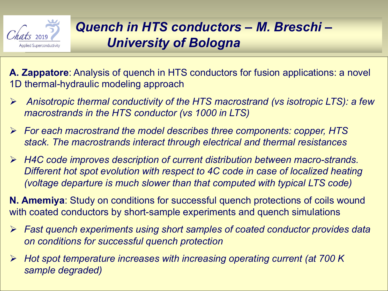

**A. Zappatore**: Analysis of quench in HTS conductors for fusion applications: a novel 1D thermal-hydraulic modeling approach

- Ø *Anisotropic thermal conductivity of the HTS macrostrand (vs isotropic LTS): a few macrostrands in the HTS conductor (vs 1000 in LTS)*
- Ø *For each macrostrand the model describes three components: copper, HTS stack. The macrostrands interact through electrical and thermal resistances*
- Ø *H4C code improves description of current distribution between macro-strands. Different hot spot evolution with respect to 4C code in case of localized heating (voltage departure is much slower than that computed with typical LTS code)*

**N. Amemiya**: Study on conditions for successful quench protections of coils wound with coated conductors by short-sample experiments and quench simulations

- Ø *Fast quench experiments using short samples of coated conductor provides data on conditions for successful quench protection*
- Ø *Hot spot temperature increases with increasing operating current (at 700 K sample degraded)*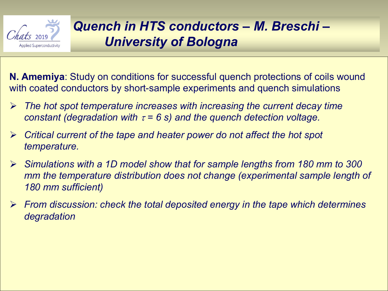

**N. Amemiya**: Study on conditions for successful quench protections of coils wound with coated conductors by short-sample experiments and quench simulations

- Ø *The hot spot temperature increases with increasing the current decay time constant* (degradation with  $\tau = 6$  s) and the quench detection voltage.
- Ø *Critical current of the tape and heater power do not affect the hot spot temperature.*
- Ø *Simulations with a 1D model show that for sample lengths from 180 mm to 300 mm the temperature distribution does not change (experimental sample length of 180 mm sufficient)*
- Ø *From discussion: check the total deposited energy in the tape which determines degradation*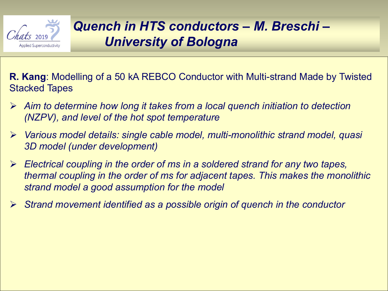

**R. Kang**: Modelling of a 50 kA REBCO Conductor with Multi-strand Made by Twisted Stacked Tapes

- Ø *Aim to determine how long it takes from a local quench initiation to detection (NZPV), and level of the hot spot temperature*
- Ø *Various model details: single cable model, multi-monolithic strand model, quasi 3D model (under development)*
- Ø *Electrical coupling in the order of ms in a soldered strand for any two tapes, thermal coupling in the order of ms for adjacent tapes. This makes the monolithic strand model a good assumption for the model*
- Ø *Strand movement identified as a possible origin of quench in the conductor*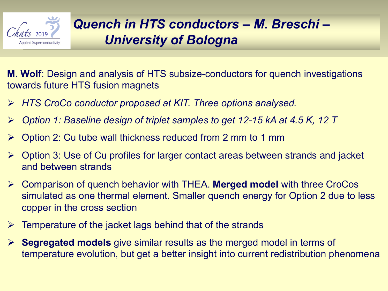

**M. Wolf**: Design and analysis of HTS subsize-conductors for quench investigations towards future HTS fusion magnets

- Ø *HTS CroCo conductor proposed at KIT. Three options analysed.*
- Ø *Option 1: Baseline design of triplet samples to get 12-15 kA at 4.5 K, 12 T*
- $\triangleright$  Option 2: Cu tube wall thickness reduced from 2 mm to 1 mm
- $\triangleright$  Option 3: Use of Cu profiles for larger contact areas between strands and jacket and between strands
- Ø Comparison of quench behavior with THEA. **Merged model** with three CroCos simulated as one thermal element. Smaller quench energy for Option 2 due to less copper in the cross section
- $\triangleright$  Temperature of the jacket lags behind that of the strands
- Ø **Segregated models** give similar results as the merged model in terms of temperature evolution, but get a better insight into current redistribution phenomena